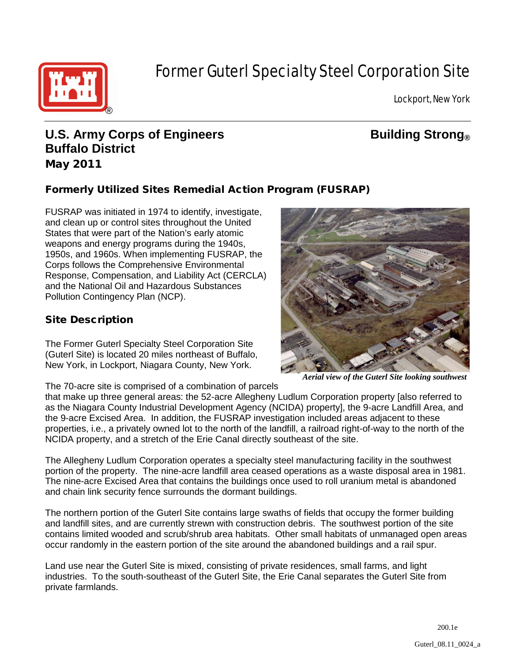

# Former Guterl Specialty Steel Corporation Site

Lockport, New York

# **U.S. Army Corps of Engineers Building Strong Buffalo District** May 2011

# Formerly Utilized Sites Remedial Action Program (FUSRAP)

FUSRAP was initiated in 1974 to identify, investigate, and clean up or control sites throughout the United States that were part of the Nation's early atomic weapons and energy programs during the 1940s, 1950s, and 1960s. When implementing FUSRAP, the Corps follows the Comprehensive Environmental Response, Compensation, and Liability Act (CERCLA) and the National Oil and Hazardous Substances Pollution Contingency Plan (NCP).

## Site Description

The Former Guterl Specialty Steel Corporation Site (Guterl Site) is located 20 miles northeast of Buffalo, New York, in Lockport, Niagara County, New York.

The 70-acre site is comprised of a combination of parcels



*Aerial view of the Guterl Site looking southwest*

that make up three general areas: the 52-acre Allegheny Ludlum Corporation property [also referred to as the Niagara County Industrial Development Agency (NCIDA) property], the 9-acre Landfill Area, and the 9-acre Excised Area. In addition, the FUSRAP investigation included areas adjacent to these properties, i.e., a privately owned lot to the north of the landfill, a railroad right-of-way to the north of the NCIDA property, and a stretch of the Erie Canal directly southeast of the site.

The Allegheny Ludlum Corporation operates a specialty steel manufacturing facility in the southwest portion of the property. The nine-acre landfill area ceased operations as a waste disposal area in 1981. The nine-acre Excised Area that contains the buildings once used to roll uranium metal is abandoned and chain link security fence surrounds the dormant buildings.

The northern portion of the Guterl Site contains large swaths of fields that occupy the former building and landfill sites, and are currently strewn with construction debris. The southwest portion of the site contains limited wooded and scrub/shrub area habitats. Other small habitats of unmanaged open areas occur randomly in the eastern portion of the site around the abandoned buildings and a rail spur.

Land use near the Guterl Site is mixed, consisting of private residences, small farms, and light industries. To the south-southeast of the Guterl Site, the Erie Canal separates the Guterl Site from private farmlands.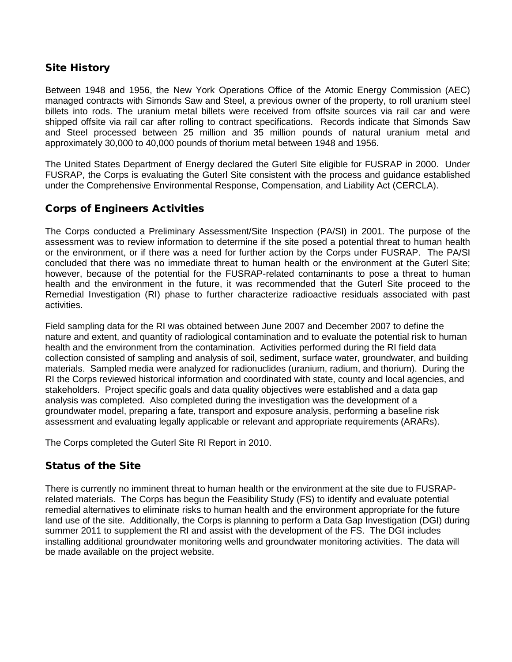#### Site History

Between 1948 and 1956, the New York Operations Office of the Atomic Energy Commission (AEC) managed contracts with Simonds Saw and Steel, a previous owner of the property, to roll uranium steel billets into rods. The uranium metal billets were received from offsite sources via rail car and were shipped offsite via rail car after rolling to contract specifications. Records indicate that Simonds Saw and Steel processed between 25 million and 35 million pounds of natural uranium metal and approximately 30,000 to 40,000 pounds of thorium metal between 1948 and 1956.

The United States Department of Energy declared the Guterl Site eligible for FUSRAP in 2000. Under FUSRAP, the Corps is evaluating the Guterl Site consistent with the process and guidance established under the Comprehensive Environmental Response, Compensation, and Liability Act (CERCLA).

#### Corps of Engineers Activities

The Corps conducted a Preliminary Assessment/Site Inspection (PA/SI) in 2001. The purpose of the assessment was to review information to determine if the site posed a potential threat to human health or the environment, or if there was a need for further action by the Corps under FUSRAP. The PA/SI concluded that there was no immediate threat to human health or the environment at the Guterl Site; however, because of the potential for the FUSRAP-related contaminants to pose a threat to human health and the environment in the future, it was recommended that the Guterl Site proceed to the Remedial Investigation (RI) phase to further characterize radioactive residuals associated with past activities.

Field sampling data for the RI was obtained between June 2007 and December 2007 to define the nature and extent, and quantity of radiological contamination and to evaluate the potential risk to human health and the environment from the contamination. Activities performed during the RI field data collection consisted of sampling and analysis of soil, sediment, surface water, groundwater, and building materials. Sampled media were analyzed for radionuclides (uranium, radium, and thorium). During the RI the Corps reviewed historical information and coordinated with state, county and local agencies, and stakeholders. Project specific goals and data quality objectives were established and a data gap analysis was completed. Also completed during the investigation was the development of a groundwater model, preparing a fate, transport and exposure analysis, performing a baseline risk assessment and evaluating legally applicable or relevant and appropriate requirements (ARARs).

The Corps completed the Guterl Site RI Report in 2010.

#### Status of the Site

There is currently no imminent threat to human health or the environment at the site due to FUSRAPrelated materials. The Corps has begun the Feasibility Study (FS) to identify and evaluate potential remedial alternatives to eliminate risks to human health and the environment appropriate for the future land use of the site. Additionally, the Corps is planning to perform a Data Gap Investigation (DGI) during summer 2011 to supplement the RI and assist with the development of the FS. The DGI includes installing additional groundwater monitoring wells and groundwater monitoring activities. The data will be made available on the project website.